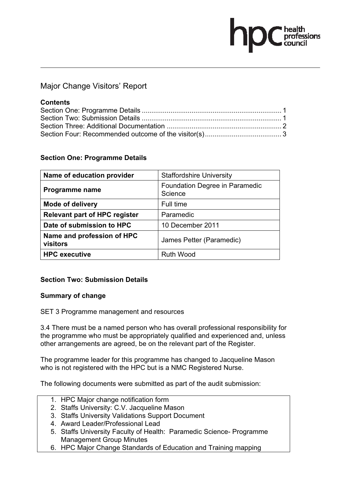# Major Change Visitors' Report

#### **Contents**

fessions

### **Section One: Programme Details**

| Name of education provider             | <b>Staffordshire University</b>           |
|----------------------------------------|-------------------------------------------|
| Programme name                         | Foundation Degree in Paramedic<br>Science |
| <b>Mode of delivery</b>                | Full time                                 |
| <b>Relevant part of HPC register</b>   | Paramedic                                 |
| Date of submission to HPC              | 10 December 2011                          |
| Name and profession of HPC<br>visitors | James Petter (Paramedic)                  |
| <b>HPC</b> executive                   | <b>Ruth Wood</b>                          |

# **Section Two: Submission Details**

#### **Summary of change**

SET 3 Programme management and resources

3.4 There must be a named person who has overall professional responsibility for the programme who must be appropriately qualified and experienced and, unless other arrangements are agreed, be on the relevant part of the Register.

The programme leader for this programme has changed to Jacqueline Mason who is not registered with the HPC but is a NMC Registered Nurse.

The following documents were submitted as part of the audit submission:

- 1. HPC Major change notification form
- 2. Staffs University: C.V. Jacqueline Mason
- 3. Staffs University Validations Support Document
- 4. Award Leader/Professional Lead
- 5. Staffs University Faculty of Health: Paramedic Science- Programme Management Group Minutes
- 6. HPC Major Change Standards of Education and Training mapping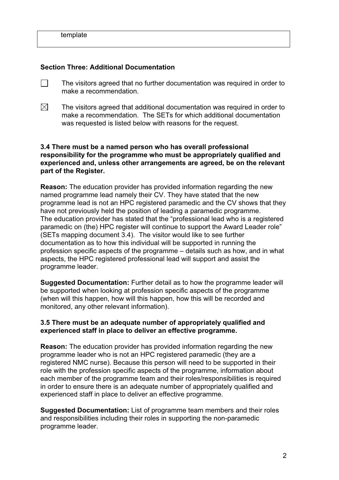#### **Section Three: Additional Documentation**

- $\Box$  The visitors agreed that no further documentation was required in order to make a recommendation.
- $\boxtimes$  The visitors agreed that additional documentation was required in order to make a recommendation. The SETs for which additional documentation was requested is listed below with reasons for the request.

#### **3.4 There must be a named person who has overall professional responsibility for the programme who must be appropriately qualified and experienced and, unless other arrangements are agreed, be on the relevant part of the Register.**

**Reason:** The education provider has provided information regarding the new named programme lead namely their CV. They have stated that the new programme lead is not an HPC registered paramedic and the CV shows that they have not previously held the position of leading a paramedic programme. The education provider has stated that the "professional lead who is a registered paramedic on (the) HPC register will continue to support the Award Leader role" (SETs mapping document 3.4). The visitor would like to see further documentation as to how this individual will be supported in running the profession specific aspects of the programme – details such as how, and in what aspects, the HPC registered professional lead will support and assist the programme leader.

**Suggested Documentation:** Further detail as to how the programme leader will be supported when looking at profession specific aspects of the programme (when will this happen, how will this happen, how this will be recorded and monitored, any other relevant information).

#### **3.5 There must be an adequate number of appropriately qualified and experienced staff in place to deliver an effective programme.**

**Reason:** The education provider has provided information regarding the new programme leader who is not an HPC registered paramedic (they are a registered NMC nurse). Because this person will need to be supported in their role with the profession specific aspects of the programme, information about each member of the programme team and their roles/responsibilities is required in order to ensure there is an adequate number of appropriately qualified and experienced staff in place to deliver an effective programme.

**Suggested Documentation:** List of programme team members and their roles and responsibilities including their roles in supporting the non-paramedic programme leader.